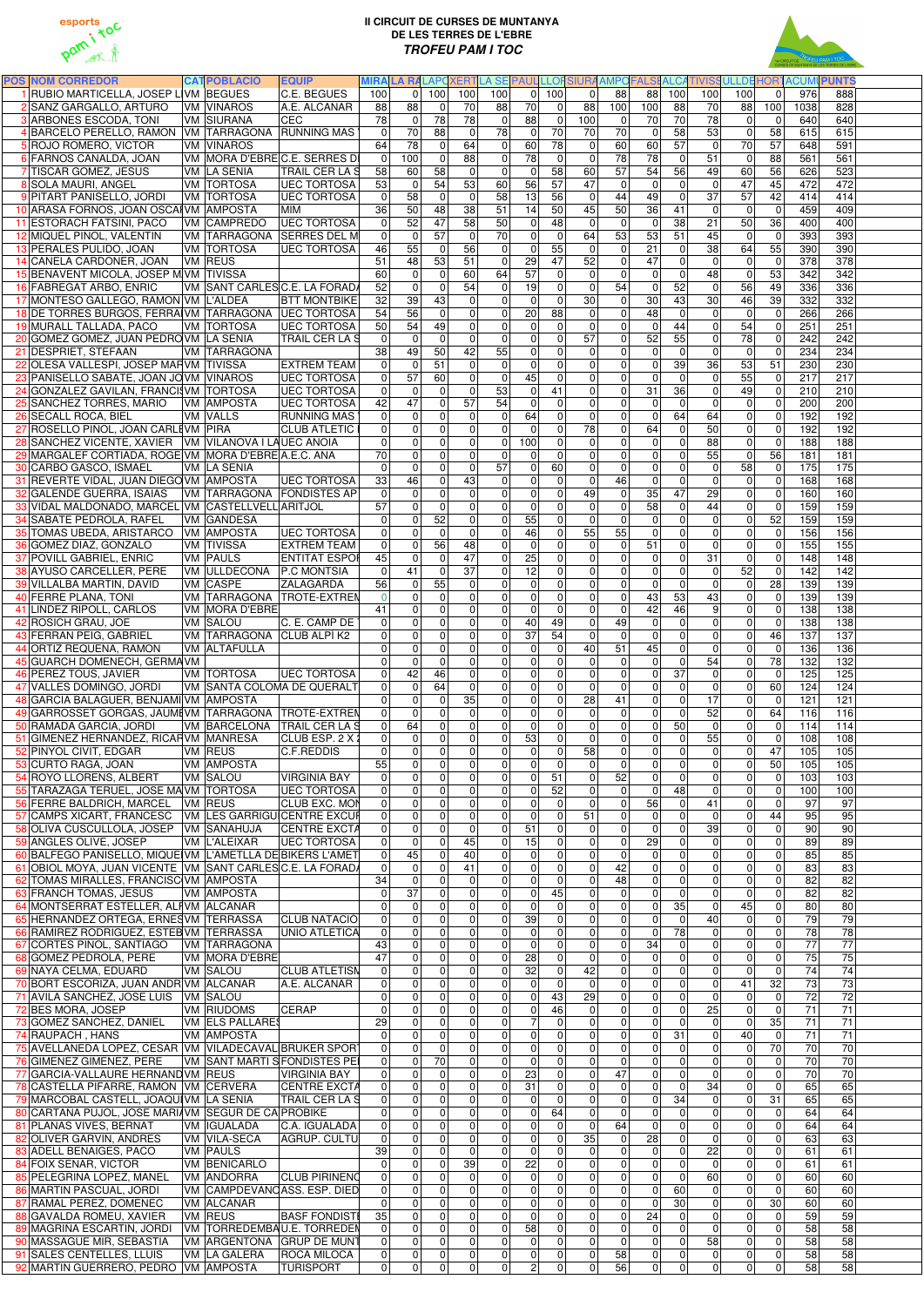

## **II CIRCUIT DE CURSES DE MUNTANYA DE LES TERRES DE L'EBRE TROFEU PAM I TOC**



| <b>POS NOM CORREDOR</b>                                                           | <b>CATPOBLACIÓ</b><br><b>EQUIP</b>                                  | <b>MIRALA RALAPOXERT</b>         |                                                                       |                                            |                                  |                               |                                         |                                  |                                                    |                                                 |                                              | LA SE PAULLLOFSIURA AMPOFALSI ALCATIVISSULLDE HORTACUMI PUNTS |                       |
|-----------------------------------------------------------------------------------|---------------------------------------------------------------------|----------------------------------|-----------------------------------------------------------------------|--------------------------------------------|----------------------------------|-------------------------------|-----------------------------------------|----------------------------------|----------------------------------------------------|-------------------------------------------------|----------------------------------------------|---------------------------------------------------------------|-----------------------|
| 1 RUBIO MARTICELLA, JOSEP L VM BEGUES                                             | <b>C.E. BEGUES</b>                                                  | 100                              | $\overline{0}$<br>100                                                 | 100                                        | 100                              | $\overline{0}$                | 100                                     | $\Omega$<br>88                   | 88                                                 | 100<br>100                                      | 100                                          | 976<br>$\mathbf 0$                                            | 888                   |
| 2 SANZ GARGALLO, ARTURO                                                           | <b>VM VINAROS</b><br>A.E. ALCANAR                                   | 88                               | 88<br>$\mathbf 0$                                                     | 70                                         | 88                               | 70                            | $\mathbf 0$<br>88                       | 100                              | 100                                                | 88<br>70                                        | 88                                           | 100<br>1038                                                   | 828                   |
| <b>3</b> ARBONES ESCODA, TONI                                                     | CEC<br><b>VM SIURANA</b>                                            | 78                               | $\mathbf 0$<br>78                                                     | 78                                         | 0                                | 88                            | $\mathbf 0$<br>100                      |                                  | $\mathbf 0$<br>70                                  | 70<br>78                                        | $\mathbf 0$                                  | $\mathbf 0$<br>640                                            | 640                   |
| 4 BARCELO PERELLO, RAMON VM TARRAGONA RUNNING MAS                                 |                                                                     | $\mathbf 0$                      | 70<br>88                                                              | $\mathbf 0$                                | 78                               | $\mathbf 0$                   | 70<br>70                                | 70                               | 0                                                  | 58<br>53                                        | $\mathbf 0$                                  | 58<br>615                                                     | 615                   |
| 5 ROJO ROMERO, VICTOR                                                             | <b>VM VINAROS</b>                                                   | 64                               | 78<br>$\mathbf 0$                                                     | 64                                         | $\overline{0}$                   | 60                            | 78                                      | 60<br>$\Omega$                   | 60                                                 | 57<br>$\mathbf 0$                               | 70                                           | 57<br>648                                                     | 591                   |
| 6 FARNOS CANALDA, JOAN                                                            | VM MORA D'EBREC.E. SERRES DI                                        | 100<br>$\mathbf 0$               | $\mathbf 0$                                                           | 88                                         | $\overline{0}$                   | 78                            | $\mathbf{0}$<br>$\mathbf{0}$            | 78                               | 78                                                 | $\mathbf 0$<br>51                               | $\mathbf 0$                                  | 88<br>561                                                     | 561                   |
| 7 TISCAR GOMEZ, JESUS                                                             | VM LA SENIA<br><b>TRAIL CER LA S</b><br><b>VM TORTOSA</b>           | 58                               | 58<br>60<br>54                                                        | $\mathbf 0$<br>53                          | 0                                | $\mathbf 0$<br>56             | 58<br>60<br>$\overline{57}$<br>47       | 57                               | 54                                                 | 56<br>49<br>$\mathbf 0$<br>$\mathbf{0}$         | 60<br>47                                     | 56<br>626<br>45                                               | 523<br>472            |
| 8 SOLA MAURI, ANGEL<br>9 PITART PANISELLO, JORDI                                  | <b>UEC TORTOSA</b><br><b>VM TORTOSA</b><br><b>UEC TORTOSA</b>       | 53<br>$\overline{0}$             | $\mathbf 0$<br>58<br>$\mathbf 0$                                      | $\pmb{0}$                                  | 60<br>58                         | 13                            | 56<br>$\mathbf 0$                       | 44                               | $\mathbf 0$<br>$\mathbf 0$<br>49                   | $\mathbf 0$<br>37                               | $\overline{57}$                              | 472<br>42<br>414                                              | 414                   |
| 10 ARASA FORNOS, JOAN OSCAI VM AMPOSTA                                            | MIM                                                                 | 36                               | 50<br>48                                                              | 38                                         | 51                               | 14                            | 50<br>45                                | 50                               | 36                                                 | 41<br>$\mathbf 0$                               | $\mathbf 0$                                  | 459<br>$\mathbf 0$                                            | 409                   |
| 11 ESTORACH FATSINI, PACO                                                         | <b>UEC TORTOSA</b><br><b>VM CAMPREDO</b>                            | $\overline{0}$                   | 52<br>47                                                              | 58                                         | 50                               | 0                             | 48<br>$\Omega$                          |                                  | $\mathbf 0$<br> 0                                  | 38<br>21                                        | 50                                           | 36<br>400                                                     | 400                   |
| 12 MIQUEL PIÑOL, VALENTIN                                                         | VM TARRAGONA SERRES DEL M                                           | $\Omega$                         | $\mathbf 0$<br>57                                                     | $\mathbf 0$                                | 70                               | $\mathbf 0$                   | $\mathbf 0$<br>64                       | 53                               | 53                                                 | 51<br>45                                        | $\mathbf 0$                                  | 393<br>0                                                      | 393                   |
| 13 PERALES PULIDO, JOAN                                                           | <b>VM TORTOSA</b><br><b>UEC TORTOSA</b>                             | 46                               | 55<br>$\mathbf 0$                                                     | 56                                         | $\overline{0}$                   | $\mathbf 0$                   | 55<br>$\mathbf{0}$                      |                                  | $\Omega$<br>21                                     | $\mathbf 0$<br>38                               | 64                                           | 55<br>390                                                     | 390                   |
| 14 CANELA CARDONER, JOAN                                                          | VM REUS                                                             | 51                               | $\overline{48}$<br>53                                                 | 51                                         | $\mathbf 0$                      | 29                            | $\overline{47}$<br>52                   |                                  | $\mathbf 0$<br>47                                  | $\mathbf 0$<br>$\mathbf{0}$                     | $\mathbf 0$                                  | 378<br>0                                                      | 378                   |
| 15 BENAVENT MICOLA, JOSEP M VM TIVISSA                                            |                                                                     | 60                               | $\overline{0}$<br>$\Omega$                                            | 60                                         | 64                               | 57                            | $\mathbf 0$                             | $\Omega$                         | $\mathbf 0$<br>$\mathbf 0$                         | 48<br>$\mathbf 0$                               | $\mathbf 0$                                  | 53<br>342                                                     | 342                   |
| 16 FABREGAT ARBO, ENRIC                                                           | VM SANT CARLES C.E. LA FORADA                                       | 52                               | $\overline{0}$<br>$\mathbf{0}$                                        | 54                                         | $\Omega$                         | 19                            | $\mathbf 0$                             | $\overline{54}$<br>$\Omega$      | 0                                                  | 52<br>$\Omega$                                  | 56                                           | 49<br>336                                                     | 336                   |
| 17 MONTESO GALLEGO, RAMON VM L'ALDEA                                              | <b>BTT MONTBIKE</b>                                                 | 32                               | 39<br>43                                                              | $\mathbf 0$                                | $\Omega$                         | $\mathbf 0$                   | 30<br>$\mathbf 0$                       |                                  | $\overline{0}$<br>30                               | 43<br>30                                        | 46                                           | 39<br>332                                                     | 332                   |
| 18 DE TORRES BURGOS, FERRAIVM TARRAGONA UEC TORTOSA                               |                                                                     | 54                               | 56<br>$\mathbf{0}$                                                    | $\mathbf 0$                                | $\Omega$                         | 20                            | $\overline{88}$                         | $\Omega$                         | 48<br>$\Omega$                                     | $\mathbf 0$<br>$\Omega$                         | $\mathbf 0$                                  | 266<br>0                                                      | 266                   |
| 19 MURALL TALLADA, PACO                                                           | <b>VM TORTOSA</b><br><b>UEC TORTOSA</b>                             | 50                               | 54<br>49                                                              | $\mathbf 0$                                | $\Omega$                         | $\pmb{0}$                     | $\mathbf 0$                             | $\Omega$                         | $\mathbf 0$<br>$\mathbf 0$                         | $\overline{44}$<br>$\Omega$                     | 54                                           | 251<br>0                                                      | 251                   |
| 20 GOMEZ GOMEZ, JUAN PEDRO VM LA SENIA                                            | <b>TRAIL CER LA S</b>                                               | $\Omega$                         | $\mathbf 0$<br>$\mathbf 0$                                            | $\mathbf 0$                                | $\overline{0}$                   | $\overline{\mathsf{o}}$       | 57<br>$\mathbf 0$                       |                                  | 52<br> 0                                           | 55<br>$\mathbf 0$                               | 78                                           | 242<br>0                                                      | 242                   |
| 21 DESPRIET, STEFAAN                                                              | <b>VM TARRAGONA</b>                                                 | 38                               | 49<br>50<br>51                                                        | 42                                         | 55<br>$\overline{0}$             | $\overline{0}$                | $\mathbf 0$                             | $\Omega$                         | 0 <br> 0                                           | $\mathbf 0$<br>$\Omega$                         | $\overline{0}$                               | 234<br>0                                                      | 234                   |
| 22 OLESA VALLESPI, JOSEP MARVM TIVISSA<br>23 PANISELLO SABATE, JOAN JO VM VINAROS | <b>EXTREM TEAM</b><br><b>IUEC TORTOSA</b>                           | $\Omega$<br>$\overline{0}$       | $\mathbf 0$<br>57<br>60                                               | $\mathsf{O}\xspace$<br>$\mathsf{O}\xspace$ | $\overline{0}$                   | $\overline{0}$<br>45          | $\mathbf 0$<br>$\mathbf 0$              | 0 <br> 0                         | 0 <br>$\overline{0}$<br>$\mathbf 0$<br>$\mathbf 0$ | 39<br>36<br>$\mathbf 0$<br>$\Omega$             | 53<br>55                                     | 51<br>230<br>217<br>$\overline{0}$                            | 230<br>217            |
| 24 GONZALEZ GAVILAN, FRANCIS VM TORTOSA                                           | <b>UEC TORTOSA</b>                                                  | $\mathbf 0$                      | $\mathbf 0$<br>0                                                      | $\pmb{0}$                                  | 53                               | $\mathbf 0$                   | 41                                      | 0                                | $\mathbf 0$<br>31                                  | 36<br>0                                         | 49                                           | 0<br>210                                                      | 210                   |
| 25 SANCHEZ TORRES, MARIO                                                          | <b>VM AMPOSTA</b><br><b>IUEC TORTOSA</b>                            | 42                               | $\overline{47}$<br>0                                                  | 57                                         | 54                               | $\mathbf 0$                   | $\mathbf 0$                             | $\overline{0}$                   | $\overline{0}$<br>$\mathbf 0$                      | $\mathbf 0$<br>$\mathbf 0$                      | $\mathbf 0$                                  | 200<br>0                                                      | 200                   |
| 26 SECALL ROCA, BIEL                                                              | VM VALLS<br><b>RUNNING MAS</b>                                      | $\overline{0}$                   | $\mathbf 0$<br>$\mathbf 0$                                            | $\mathbf 0$                                | $\overline{0}$                   | 64                            | $\mathbf 0$                             | 0                                | $\mathbf 0$<br>$\mathbf 0$                         | 64<br>64                                        | $\pmb{0}$                                    | 192<br>0                                                      | 192                   |
| 27 ROSELLO PIÑOL, JOAN CARLEVM PIRA                                               | <b>CLUB ATLETIC</b>                                                 | $\overline{0}$                   | $\mathbf 0$<br>$\mathbf 0$                                            | $\mathbf 0$                                | $\Omega$                         | $\mathbf 0$                   | $\mathbf 0$<br>78                       |                                  | $\mathbf 0$<br>64                                  | $\mathbf 0$<br>50                               | $\mathbf 0$                                  | 0<br>192                                                      | 192                   |
| 28 SANCHEZ VICENTE, XAVIER   VM   VILANOVA I LAUEC ANOIA                          |                                                                     | $\overline{0}$                   | $\mathbf 0$<br>$\overline{0}$                                         | $\pmb{0}$                                  | $\overline{0}$                   | 100                           | $\mathbf 0$                             | 0                                | $\mathbf 0$<br> 0                                  | $\mathbf 0$<br>88                               | $\mathbf 0$                                  | $\mathbf 0$<br>188                                            | 188                   |
| 29 MARGALEF CORTIADA, ROGE VM MORA D'EBRE A.E.C. ANA                              |                                                                     | 70                               | $\mathbf 0$<br>$\mathbf 0$                                            | $\mathbf 0$                                | $\Omega$                         | $\mathbf 0$                   | $\mathbf{0}$                            | $\Omega$                         | $\overline{0}$<br> 0                               | $\mathbf 0$<br>55                               | $\mathbf 0$                                  | 56<br>181                                                     | 181                   |
| 30 CARBO GASCO, ISMAEL                                                            | VM LA SENIA                                                         | $\mathbf 0$                      | $\mathbf 0$<br>$\mathbf{0}$                                           | $\pmb{0}$                                  | 57                               | $\overline{0}$                | 60                                      | $\Omega$                         | $\mathbf 0$<br> 0                                  | $\mathbf 0$<br>0                                | 58                                           | 175<br>$\mathbf 0$                                            | 175                   |
| 31 REVERTE VIDAL, JUAN DIEGO VM AMPOSTA                                           | <b>UEC TORTOSA</b>                                                  | 33                               | 46<br>0                                                               | 43                                         | $\overline{0}$                   | $\mathbf 0$                   | $\mathbf{0}$                            | 46<br>$\Omega$                   | $\mathbf 0$                                        | $\mathbf 0$<br>$\mathbf{0}$                     |                                              | $\mathbf 0$<br>168<br>0                                       | 168                   |
| 32 GALENDE GUERRA, ISAIAS                                                         | VM TARRAGONA FONDISTES AP                                           | $\mathbf 0$                      | 0<br>$\mathbf 0$                                                      | $\mathbf 0$                                | $\overline{0}$                   | $\mathbf 0$                   | $\mathbf 0$<br>49                       |                                  | 35<br>$\mathbf 0$                                  | 47<br>29                                        |                                              | $\mathbf 0$<br>$\Omega$<br>160                                | 160                   |
| 33 VIDAL MALDONADO, MARCEL VM CASTELLVELL ARITJOL                                 |                                                                     | 57                               | $\mathbf 0$<br>$\mathbf 0$                                            | $\mathbf 0$                                | $\overline{0}$                   | $\mathbf 0$                   | $\mathbf 0$                             | $\Omega$                         | 58<br>$\mathbf 0$                                  | $\mathbf 0$<br>44                               | $\mathbf 0$                                  | 159<br>$\mathbf 0$                                            | 159                   |
| 34 SABATE PEDROLA, RAFEL                                                          | VM GANDESA                                                          | $\Omega$                         | 52<br>$\mathbf 0$                                                     | $\mathbf 0$                                | $\overline{0}$                   | 55                            | $\mathbf 0$                             | $\overline{0}$                   | $\mathbf 0$<br> 0                                  | $\mathbf 0$<br>$\mathbf 0$                      | $\mathbf 0$                                  | 52<br>159                                                     | 159                   |
| 35 TOMAS UBEDA, ARISTARCO                                                         | <b>VM AMPOSTA</b><br><b>UEC TORTOSA</b>                             | $\overline{0}$                   | $\mathbf 0$<br>$\mathbf{0}$                                           | $\mathbf 0$                                | $\overline{0}$                   | 46                            | $\mathbf 0$<br>55                       | 55                               | 0                                                  | $\overline{0}$<br>$\Omega$                      |                                              | $\mathbf 0$<br>$\mathbf 0$<br>156                             | 156                   |
| 36 GOMEZ DIAZ, GONZALO                                                            | <b>EXTREM TEAM</b><br><b>VM TIVISSA</b>                             | $\overline{0}$                   | $\mathbf 0$<br>56<br>$\overline{0}$                                   | 48<br>47                                   | $\overline{0}$                   | $\pmb{0}$                     | $\mathbf 0$<br>$\Omega$                 | $\Omega$                         | $\Omega$<br>51<br>$\Omega$                         | $\overline{0}$<br>$\mathbf 0$<br>$\Omega$       |                                              | $\mathbf 0$<br>155<br>$\overline{0}$<br>$\Omega$              | 155                   |
| 37 POVILL GABRIEL, ENRIC<br>38 AYUSO CARCELLER, PERE                              | <b>VM PAULS</b><br><b>ENTITAT ESPOR</b><br>VM ULLDECONA P.C MONTSIA | 45                               | $\Omega$<br>41<br>$\mathbf{0}$                                        | 37                                         | $\Omega$<br> 0                   | 25<br>12                      | 0                                       | $\Omega$<br>0                    | $\Omega$<br>$\overline{0}$<br>0                    | 31<br> 0                                        | 52                                           | $\Omega$<br>148<br>142<br>0                                   | 148<br>142            |
| 39 VILLALBA MARTIN, DAVID                                                         | VM CASPE<br><b>ZALAGARDA</b>                                        | 56                               | 55<br>$\mathbf 0$                                                     | $\mathbf 0$                                | $\overline{0}$                   | $\pmb{0}$                     | 0                                       | $\Omega$                         | $\mathbf 0$<br> 0                                  | $\overline{0}$<br>$\Omega$                      | $\mathbf 0$                                  | 28<br>139                                                     | 139                   |
| 40 FERRE PLANA, TONI                                                              | VM TARRAGONA TROTE-EXTREN                                           | $\Omega$                         | $\mathbf 0$<br>$\overline{0}$                                         | $\mathbf 0$                                | $\overline{0}$                   | $\overline{0}$                | $\mathbf 0$                             | $\Omega$                         | $\mathbf 0$<br>43                                  | 53<br>43                                        |                                              | $\overline{0}$<br>139<br>$\overline{0}$                       | 139                   |
| 41 LINDEZ RIPOLL, CARLOS                                                          | VM   MORA D'EBRE                                                    | 41                               | $\overline{0}$<br>$\Omega$                                            | 0                                          | $\overline{0}$                   | $\overline{\mathsf{o}}$       | $\mathbf 0$                             | $\Omega$                         | 42<br>$\Omega$                                     | 46<br>9                                         |                                              | 0 <br>138<br>0                                                | 138                   |
| 42 ROSICH GRAU, JOE                                                               | VM SALOU<br>C. E. CAMP DE                                           | $\Omega$                         | $\mathbf 0$<br>$\Omega$                                               | $\mathbf 0$                                | $\overline{0}$                   | $\overline{40}$               | 49                                      | 49<br>$\Omega$                   | 0                                                  | $\overline{0}$<br>$\overline{0}$                |                                              | $\mathbf 0$<br>138<br>$\mathbf 0$                             | 138                   |
| 43 FERRAN PEIG, GABRIEL                                                           | VM TARRAGONA CLUB ALPÍK2                                            | $\overline{0}$                   | $\mathbf 0$<br>$\mathbf 0$                                            | $\mathbf 0$                                | $\Omega$                         | $\overline{37}$               | 54                                      | $\Omega$                         | $\Omega$<br> 0                                     | $\mathbf 0$<br>$\mathbf 0$                      | $\mathbf 0$                                  | 46<br>137                                                     | 137                   |
| 44 ORTIZ REQUENA, RAMON                                                           | <b>VM ALTAFULLA</b>                                                 | $\Omega$                         | $\mathbf 0$<br>$\mathbf{0}$                                           | $\mathbf 0$                                | $\Omega$                         | $\mathbf 0$                   | 40<br>$\mathbf 0$                       | 51                               | 45                                                 | $\mathbf 0$<br>$\mathbf 0$                      | $\mathbf 0$                                  | 136<br>$\mathbf 0$                                            | 136                   |
| 45 GUARCH DOMENECH, GERMA VM                                                      |                                                                     | 0                                | $\mathbf 0$<br>$\overline{0}$                                         | $\mathbf 0$                                | $\Omega$                         | $\pmb{0}$                     | $\overline{0}$                          | 0                                | 0 <br> 0                                           | 54<br>$\overline{0}$                            | $\mathbf 0$                                  | 78<br>132                                                     | 132                   |
| 46 PEREZ TOUS, JAVIER                                                             | <b>VM TORTOSA</b><br><b>UEC TORTOSA</b>                             | $\overline{0}$                   | $\overline{42}$<br>46                                                 | $\mathsf{O}\xspace$                        | $\overline{0}$                   | $\overline{0}$                | $\mathbf 0$                             | $\Omega$                         | 0 <br> 0                                           | $\overline{37}$<br>$\mathbf 0$                  | $\mathbf 0$                                  | 125<br>$\mathbf 0$                                            | 125                   |
| 47 VALLES DOMINGO, JORDI                                                          | <b>VM SANTA COLOMA DE QUERALT</b>                                   | $\Omega$                         | $\overline{\mathsf{o}}$<br>64                                         | $\mathbf 0$                                | 0                                | $\overline{0}$                | $\mathbf 0$                             | $\Omega$                         | 0 <br> 0                                           | $\mathbf 0$<br>$\mathbf 0$                      | $\mathbf 0$                                  | 124<br>60                                                     | 124                   |
| 48 GARCIA BALAGUER, BENJAMI VM AMPOSTA                                            |                                                                     |                                  | $\mathbf 0$<br>$\overline{0}$                                         | 35                                         | 0                                | $\overline{0}$                | $\mathbf 0$<br>28                       | 41                               | 0                                                  | $\mathbf 0$<br>17                               | $\mathbf 0$                                  | 121<br>$\mathbf 0$                                            | 121                   |
| 49 GARROSSET GORGAS, JAUMI VM TARRAGONA TROTE-EXTREN<br>50 RAMADA GARCIA, JORDI   | VM BARCELONA TRAIL CER LA S                                         | $\overline{0}$                   | $\mathbf 0$<br>$\mathbf 0$<br>64                                      | $\mathbf 0$<br>$\mathbf 0$                 | 0                                | $\overline{0}$<br>$\pmb{0}$   | 0                                       | 0 <br>$\overline{0}$             | 0 <br> 0 <br>$\overline{0}$                        | 52<br>$\mathbf 0$<br>50<br>$\mathbf 0$          | $\mathbf 0$                                  | 64<br>116<br>$\mathbf 0$<br>114                               | 116<br>114            |
| 51 GIMENEZ HERNANDEZ, RICARVM MANRESA                                             | CLUB ESP. 2 X 2                                                     | $\overline{0}$<br>$\overline{0}$ | $\mathbf 0$<br>$\mathbf 0$<br>$\mathbf 0$                             | $\mathbf 0$                                | $\overline{0}$<br> 0             | 53                            | $\mathbf 0$<br>$\mathbf 0$              | 0                                | 0 <br>$\mathbf 0$<br> 0                            | 55<br>$\mathbf 0$                               |                                              | $\mathbf 0$<br>$\pmb{0}$<br>$\mathbf 0$<br>108                | 108                   |
| 52 PINYOL CIVIT, EDGAR                                                            | VM REUS<br>C.F.REDDIS                                               | $\Omega$                         | $\mathbf 0$<br>$\mathbf 0$                                            | $\mathbf 0$                                | $\overline{0}$                   | $\mathbf 0$                   | $\mathbf 0$<br>58                       |                                  | $\mathbf 0$<br> 0                                  | $\mathbf 0$<br>$\mathbf 0$                      | $\mathbf 0$                                  | 47<br>105                                                     | 105                   |
| 53 CURTO RAGA, JOAN                                                               | <b>VM AMPOSTA</b>                                                   | 55                               | $\mathbf 0$<br>$\mathbf 0$                                            | $\overline{\mathsf{o}}$                    | $\overline{0}$                   | $\overline{0}$                | $\mathbf 0$                             | $\Omega$                         | $\mathbf 0$<br> 0                                  | $\mathbf 0$<br>$\mathbf 0$                      | $\mathbf 0$                                  | 50<br>105                                                     | 105                   |
| 54 ROYO LLORENS, ALBERT                                                           | VM SALOU<br><b>VIRGINIA BAY</b>                                     | $\overline{0}$                   | $\overline{0}$<br>$\mathbf 0$                                         | $\pmb{0}$                                  | $\overline{0}$                   | $\overline{0}$                | 51                                      | 52<br> 0                         | 0                                                  | $\mathbf 0$<br>$\Omega$                         |                                              | $\mathbf 0$<br>$\mathbf 0$<br>103                             | 103                   |
| 55 TARAZAGA TERUEL, JOSE MA VM TORTOSA                                            | <b>UEC TORTOSA</b>                                                  | $\overline{0}$                   | $\mathbf 0$<br>$\mathbf 0$                                            | $\pmb{0}$                                  | $\overline{0}$                   | $\overline{0}$                | 52                                      | $\Omega$                         | $\mathbf 0$<br> 0                                  | 48<br>$\mathbf 0$                               |                                              | $\mathbf 0$<br>$\mathbf 0$<br>100                             | 100                   |
| 56 FERRE BALDRICH, MARCEL VM REUS                                                 | <b>CLUB EXC. MON</b>                                                | $\overline{0}$                   | $\overline{0}$<br>$\mathbf 0$                                         | $\mathbf 0$                                | $\overline{0}$                   | $\mathbf 0$                   | $\mathbf 0$                             | $\Omega$                         | 56<br>$\Omega$                                     | $\mathbf 0$<br>41                               |                                              | $\Omega$<br>$\mathbf 0$<br>97                                 | 97                    |
| 57 CAMPS XICART, FRANCESC VM LES GARRIGUICENTRE EXCUP                             |                                                                     | $\overline{0}$                   | $\mathbf 0$<br>$\overline{0}$                                         | $\mathbf 0$                                | $\overline{0}$                   | $\mathbf 0$                   | 51<br>$\mathbf 0$                       |                                  | $\overline{0}$<br> 0                               | $\mathbf 0$<br>$\Omega$                         | $\mathbf 0$                                  | 44<br>95                                                      | 95                    |
| 58 OLIVA CUSCULLOLA, JOSEP   VM SANAHUJA                                          | <b>CENTRE EXCTA</b>                                                 | $\overline{0}$                   | $\mathbf 0$<br>$\mathbf 0$                                            | $\mathbf 0$                                | $\overline{0}$                   | 51                            | $\mathbf 0$                             | 0                                | $\mathbf 0$<br> 0                                  | $\mathbf 0$<br>39                               | $\mathbf 0$                                  | 90<br>$\mathbf 0$                                             | 90                    |
| 59 ANGLES OLIVE, JOSEP                                                            | VM L'ALEIXAR<br><b>UEC TORTOSA</b>                                  | $\Omega$                         | $\mathbf 0$<br>$\Omega$                                               | 45                                         | $\overline{0}$                   | 15                            | $\mathbf 0$                             | $\Omega$                         | $\mathbf 0$<br>29                                  | $\mathbf 0$<br>$\mathbf 0$                      | $\mathbf 0$                                  | $\mathbf 0$<br>89                                             | 89                    |
| 60 BALFEGO PANISELLO, MIQUE VM L'AMETLLA DE BIKERS L'AMET                         |                                                                     | $\Omega$                         | 45<br>$\Omega$                                                        | 40                                         | $\overline{0}$                   | $\overline{0}$                | $\mathbf 0$                             | $\Omega$                         | $\Omega$<br> 0                                     | $\mathbf 0$                                     | $\overline{0}$<br>$\mathbf 0$                | $\mathbf 0$<br>85                                             | 85                    |
| 61 OBIOL MOYA, JUAN VICENTE VM SANT CARLESC.E. LA FORADA                          |                                                                     | $\Omega$                         | $\mathbf 0$<br>$\Omega$                                               | 41                                         | $\overline{0}$                   | $\overline{0}$                | $\mathbf 0$                             | 42<br>$\Omega$                   | 0                                                  | $\Omega$                                        | $\mathbf 0$<br>$\overline{0}$                | $\mathbf 0$<br>83                                             | 83                    |
| 62 TOMAS MIRALLES, FRANCISC VM AMPOSTA<br>63 FRANCH TOMAS, JESUS                  | <b>VM AMPOSTA</b>                                                   | 34<br>$\Omega$                   | $\overline{0}$<br>$\Omega$<br>37<br>$\Omega$                          | $\mathbf 0$<br>$\mathbf 0$                 | $\Omega$<br>$\Omega$             | $\overline{0}$<br>$\mathbf 0$ | $\mathbf 0$<br>45                       | 48<br>$\Omega$<br>$\Omega$       | 0 <br>$\Omega$<br>$\overline{0}$                   | $\mathbf 0$<br>$\mathbf 0$<br>$\Omega$          | $\overline{0}$<br>$\mathbf 0$<br>$\mathbf 0$ | 82<br>$\mathbf 0$<br>82<br>$\overline{0}$                     | 82<br>82              |
| 64 MONTSERRAT ESTELLER, ALIVM ALCANAR                                             |                                                                     | $\Omega$                         | $\Omega$<br>$\mathbf{0}$                                              | $\mathbf 0$                                | $\overline{0}$                   | $\mathbf 0$                   | $\mathbf 0$                             | $\Omega$                         | $\Omega$<br> 0                                     | 35<br>$\Omega$                                  | 45                                           | 80<br>$\overline{0}$                                          | 80                    |
| 65 HERNANDEZ ORTEGA, ERNES VM TERRASSA                                            | <b>CLUB NATACIÓ</b>                                                 | $\overline{0}$                   | $\mathbf 0$<br>$\Omega$                                               | $\overline{0}$                             | $\Omega$                         | 39                            | $\mathbf 0$                             | $\overline{0}$                   | $\overline{0}$<br>$\mathbf 0$                      | $\mathbf 0$<br>40                               | $\mathbf 0$                                  | 79<br>$\mathbf 0$                                             | 79                    |
| 66 RAMIREZ RODRIGUEZ, ESTEB VM TERRASSA                                           | <b>UNIO ATLETICA</b>                                                | $\Omega$                         | $\mathbf 0$<br>$\Omega$                                               | $\overline{\mathsf{o}}$                    | $\Omega$                         | $\overline{\mathsf{o}}$       | $\mathbf 0$                             | $\Omega$                         | 0 <br> 0                                           | $\overline{78}$<br>$\Omega$                     |                                              | 78<br> 0 <br>$\mathbf 0$                                      | 78                    |
| 67 CORTES PIÑOL, SANTIAGO                                                         | <b>VM TARRAGONA</b>                                                 | 43                               | $\mathbf 0$<br>$\Omega$                                               | $\mathbf 0$                                | $\overline{0}$                   | $\overline{\mathsf{o}}$       | $\mathbf 0$                             | $\Omega$                         | 34<br>$\overline{0}$                               | $\mathbf 0$<br>$\Omega$                         | $\mathbf 0$                                  | $\overline{77}$<br>$\mathbf 0$                                | $\overline{77}$       |
| 68 GOMEZ PEDROLA, PERE                                                            | VM MORA D'EBRE                                                      | 47                               | $\overline{0}$<br>$\Omega$                                            | $\mathbf 0$                                | $\Omega$                         | 28                            | $\mathbf 0$                             | $\Omega$                         | $\Omega$<br> 0                                     | $\mathbf 0$                                     | 0 <br>$\mathbf 0$                            | 75<br>0                                                       | 75                    |
| 69 NAYA CELMA, EDUARD                                                             | <b>VM SALOU</b><br><b>CLUB ATLETISM</b>                             | $\Omega$                         | $\overline{0}$<br>$\Omega$                                            | $\mathbf 0$                                | $\Omega$                         | 32                            | 42<br>$\mathbf 0$                       |                                  | 0 <br> 0                                           | $\mathbf 0$<br>$\overline{0}$                   | $\mathbf 0$                                  | 74<br>$\mathbf 0$                                             | 74                    |
| 70 BORT ESCORIZA, JUAN ANDR VM ALCANAR                                            | A.E. ALCANAR                                                        | 0                                | $\mathbf 0$<br>$\mathbf{0}$                                           | $\mathbf 0$                                | $\Omega$                         | $\mathbf 0$                   | $\mathbf{0}$<br>$\Omega$                |                                  | 0 <br> 0                                           | $\mathbf 0$<br>$\overline{0}$                   | 41                                           | 32<br>73                                                      | 73                    |
| 71 AVILA SANCHEZ, JOSE LUIS   VM SALOU                                            |                                                                     | $\Omega$                         | $\mathbf 0$<br>0                                                      | $\pmb{0}$                                  | $\Omega$                         | $\pmb{0}$                     | 43<br>29                                |                                  | 0 <br> 0                                           | $\mathbf 0$<br>$\mathbf 0$                      | $\mathbf 0$                                  | $\overline{72}$<br>$\mathbf 0$                                | $\overline{72}$       |
| 72 BES MORA, JOSEP                                                                | <b>VM RIUDOMS</b><br><b>CERAP</b>                                   | $\Omega$                         | $\mathbf 0$<br>0                                                      | $\pmb{0}$                                  | $\overline{0}$                   | $\overline{0}$                | 46                                      | $\overline{0}$                   | 0 <br> 0                                           | $\mathbf 0$<br>25                               | $\mathbf 0$                                  | $\overline{71}$<br>$\overline{0}$                             | 71                    |
| 73 GOMEZ SANCHEZ, DANIEL<br>74 RAUPACH, HANS                                      | VM ELS PALLARES<br><b>VM AMPOSTA</b>                                | 29<br>$\Omega$                   | $\mathbf 0$<br>$\mathbf 0$<br>$\mathbf 0$<br>$\mathbf 0$              | $\mathbf 0$<br> 0                          | 0 <br> 0                         | $\overline{7}$<br> 0          | $\overline{0}$<br> 0                    | $\Omega$<br> 0                   | 0 <br> 0 <br> 0 <br> 0                             | $\overline{0}$<br>$\Omega$<br>31<br>$\mathbf 0$ | $\mathbf 0$<br>40                            | 35<br>71<br>71<br>$\overline{0}$                              | $\overline{71}$<br>71 |
| 75 AVELLANEDA LOPEZ, CESAR VM VILADECAVAL BRUKER SPORT                            |                                                                     | 0                                | $\overline{0}$<br>$\overline{0}$                                      | $\overline{0}$                             | $\overline{0}$                   | 0                             | $\overline{0}$                          | 0                                | 0 <br>$\overline{0}$                               | $\overline{0}$<br> 0                            | $\overline{0}$                               | 70<br>70                                                      | 70                    |
| 76 GIMENEZ GIMENEZ, PERE   VM SANT MARTI S FONDISTES PEI                          |                                                                     | $\overline{\phantom{0}}$         | 0 <br>$\overline{70}$                                                 | $\overline{0}$                             | $\overline{0}$                   | $\overline{0}$                | $\overline{\phantom{0}}$<br>$\boxed{0}$ | $\overline{\phantom{0}}$         | $\overline{0}$                                     | $\overline{0}$<br>$\overline{\phantom{0}}$      | $\overline{0}$                               | $\overline{\phantom{0}}$<br>70                                | 70                    |
| 77 GARCIA-VALLAURE HERNAND VM REUS                                                | <b>VIRGINIA BAY</b>                                                 | $\overline{0}$                   | $\mathsf{O}\xspace$<br>$\overline{0}$                                 | $\pmb{0}$                                  | 0                                | 23                            | $\mathbf 0$                             | 47<br> 0                         | 0                                                  | $\mathbf 0$<br>$\overline{0}$                   |                                              | 0 <br>$\mathbf 0$<br>70                                       | 70                    |
| 78 CASTELLA PIFARRE, RAMON   VM   CERVERA                                         | <b>CENTRE EXCTA</b>                                                 | $\overline{0}$                   | $\mathsf{O}\xspace$<br>$\mathbf 0$                                    | $\pmb{0}$                                  | 0                                | 31                            | $\mathbf 0$                             | 0                                | 0 <br> 0                                           | 34<br> 0                                        | $\mathbf 0$                                  | 65<br>$\mathbf 0$                                             | 65                    |
| 79 MARCOBAL CASTELL, JOAQUIVM LA SENIA                                            | <b>TRAIL CER LA S</b>                                               | $\overline{0}$                   | $\mathsf{O}\xspace$<br>$\mathbf 0$                                    | $\pmb{0}$                                  | $\overline{0}$                   | $\pmb{0}$                     | $\mathbf 0$                             | 0                                | $\mathbf 0$<br> 0                                  | 34<br>$\mathbf 0$                               |                                              | $\pmb{0}$<br>31<br>65                                         | 65                    |
| 80 CARTAÑA PUJOL, JOSE MARIAVM SEGUR DE CA PROBIKE                                |                                                                     | $\overline{0}$                   | $\mathbf 0$<br>$\mathbf 0$                                            | $\pmb{0}$                                  | $\overline{0}$                   | $\overline{0}$                | 64                                      | 0                                | $\mathbf 0$<br>$\mathbf 0$                         | $\mathbf 0$<br>$\mathbf 0$                      |                                              | $\mathbf 0$<br>64<br>$\mathbf 0$                              | 64                    |
| 81 PLANAS VIVES, BERNAT                                                           | VM   IGUALADA<br>C.A. IGUALADA                                      | $\overline{0}$                   | $\mathbf 0$<br>$\overline{0}$                                         | $\mathbf 0$                                | $\overline{0}$                   | $\pmb{0}$                     | $\mathbf 0$                             | 64<br>$\Omega$                   | $\overline{0}$                                     | $\mathbf 0$<br>$\mathbf 0$                      |                                              | $\mathbf 0$<br>0<br>64                                        | 64                    |
| 82 OLIVER GARVIN, ANDRES                                                          | VM VILA-SECA<br><b>AGRUP. CULTU</b>                                 | $\mathbf{0}$                     | $\mathsf{O}\xspace$<br>$\mathbf 0$                                    | $\mathbf 0$                                | $\overline{0}$                   | $\mathbf 0$                   | $\mathbf 0$<br>35                       |                                  | 28<br>$\overline{0}$                               | $\mathbf 0$<br>$\mathbf 0$                      |                                              | $\mathbf 0$<br>63<br>0                                        | 63                    |
| 83 ADELL BENAIGES, PACO                                                           | <b>VM PAULS</b>                                                     | 39                               | $\mathsf{O}\xspace$<br>$\mathbf{0}$                                   | $\mathbf 0$                                | $\overline{0}$                   | $\mathbf 0$                   | $\mathbf 0$                             | $\overline{0}$                   | $\mathbf 0$<br> 0                                  | 22<br>$\mathbf 0$                               |                                              | $\mathbf 0$<br>0<br>61                                        | 61                    |
| 84 FOIX SENAR, VICTOR                                                             | VM BENICARLO                                                        | $\Omega$                         | $\mathsf{O}\xspace$<br>$\mathbf{0}$                                   | 39                                         | $\overline{0}$                   | 22                            | $\mathbf 0$                             | 0                                | $\mathbf 0$<br>$\overline{0}$                      | $\mathbf 0$<br>$\mathbf 0$                      | $\pmb{0}$                                    | $\mathbf 0$<br>61                                             | 61                    |
| 85 PELEGRINA LOPEZ, MANEL                                                         | <b>VM ANDORRA</b><br><b>CLUB PIRINENC</b>                           | $\overline{0}$                   | $\mathsf{O}\xspace$<br>$\mathbf{0}$                                   | $\mathbf 0$                                | $\overline{0}$                   | $\overline{0}$                | 0                                       | $\overline{0}$                   | $\mathbf 0$<br> 0                                  | $\mathbf 0$<br>60                               | $\mathbf 0$                                  | $\mathbf 0$<br>60                                             | 60                    |
| 86 MARTIN PASCUAL, JORDI<br>87 RAMAL PEREZ, DOMENEC                               | VM CAMPDEVANCASS. ESP. DIED<br><b>VM ALCANAR</b>                    | $\overline{0}$<br>$\overline{0}$ | $\mathsf{O}\xspace$<br>$\mathbf 0$<br>$\mathsf{O}\xspace$<br>$\Omega$ | $\overline{0}$<br> 0                       | $\overline{0}$<br>$\overline{0}$ | $\overline{0}$<br> 0          | 0 <br>$\mathbf 0$                       | $\overline{0}$<br>$\overline{0}$ | $\mathbf 0$<br> 0 <br>$\Omega$<br>$\overline{0}$   | 60<br>$\mathbf 0$<br>30                         | $\mathbf 0$<br>$\mathbf 0$<br> 0             | 60<br>0<br>30<br>60                                           | 60<br>60              |
| 88 GAVALDA ROMEU, XAVIER                                                          | VM REUS<br><b>BASF FONDISTI</b>                                     | 35                               | $\mathsf{O}\xspace$<br>$\Omega$                                       | $\mathbf 0$                                | $\overline{0}$                   | $\mathbf 0$                   | $\mathbf 0$                             | $\overline{0}$                   | 24<br>$\overline{0}$                               | $\overline{0}$<br>$\overline{0}$                |                                              | $\mathbf 0$<br>59<br>$\Omega$                                 | 59                    |
| 89 MAGRIÑA ESCARTIN, JORDI                                                        | VM TORREDEMBAU.E. TORREDEN                                          | $\overline{0}$                   | $\mathsf{O}\xspace$<br>$\Omega$                                       | 0                                          | $\overline{0}$                   | $\overline{58}$               | $\mathbf 0$                             | $\overline{0}$                   | $\overline{0}$<br> 0                               | $\mathbf 0$<br>$\mathbf 0$                      |                                              | $\pmb{0}$<br>58<br>$\overline{0}$                             | $\overline{58}$       |
| 90 MASSAGUE MIR, SEBASTIA                                                         | VM ARGENTONA GRUP DE MUNT                                           | $\overline{0}$                   | $\mathsf{O}\xspace$<br>$\Omega$                                       | $\pmb{0}$                                  | $\overline{0}$                   | $\pmb{0}$                     | $\mathbf 0$                             | $\Omega$                         | $\mathbf 0$<br> 0                                  | 58<br>$\mathbf 0$                               |                                              | $\pmb{0}$<br>58<br>$\overline{0}$                             | $\overline{58}$       |
| 91 SALES CENTELLES, LLUIS                                                         | VM LA GALERA<br><b>ROCA MILOCA</b>                                  | $\overline{0}$                   | $\pmb{0}$<br>$\mathbf 0$                                              | $\overline{0}$                             | $\overline{0}$                   | $\boldsymbol{0}$              | $\pmb{0}$                               | 58<br>$\overline{0}$             | 0                                                  | 0                                               | 0                                            | 58<br>$\overline{0}$<br>$\mathbf 0$                           | 58                    |
| 92 MARTIN GUERRERO, PEDRO   VM   AMPOSTA                                          | <b>TURISPORT</b>                                                    | $\overline{0}$                   | $\overline{0}$<br>$\overline{0}$                                      | 0                                          | 0                                | $\overline{2}$                | $\mathbf 0$                             | 56<br> 0                         | $\overline{0}$                                     | 0                                               | 0                                            | 58<br>$\mathbf 0$<br>$\overline{0}$                           | 58                    |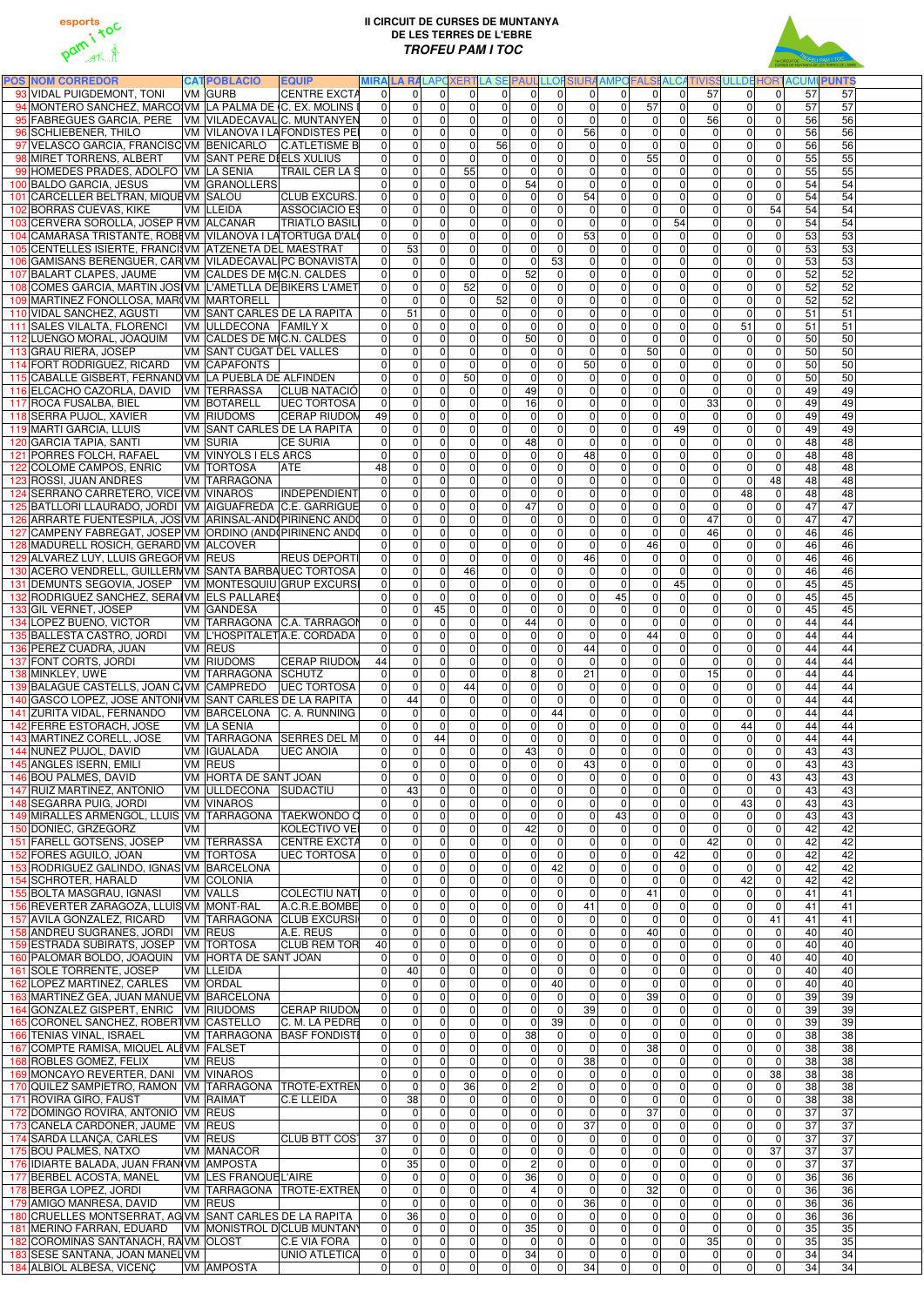

## **II CIRCUIT DE CURSES DE MUNTANYA DE LES TERRES DE L'EBRE TROFEU PAM I TOC**



| <b>POS NOM CORREDOR</b>                                                                             | <b>CATPOBLACIÓ</b><br><b>IEQUIP</b>                         |                                        |                                                               |                               |                                  |                                                                |                            |                                                  |                                                                          |                                  |                                  |                                  | MIRA LA RALAPOXERTLA SE PAUL LLOFSIURA AMPOFALSI ALCATIVISSULLDE HORTACUMI PUNTS |  |
|-----------------------------------------------------------------------------------------------------|-------------------------------------------------------------|----------------------------------------|---------------------------------------------------------------|-------------------------------|----------------------------------|----------------------------------------------------------------|----------------------------|--------------------------------------------------|--------------------------------------------------------------------------|----------------------------------|----------------------------------|----------------------------------|----------------------------------------------------------------------------------|--|
| 93 VIDAL PUIGDEMONT, TONI<br>94 MONTERO SANCHEZ, MARCO VM LA PALMA DE C. EX. MOLINS I               | VM GURB<br><b>CENTRE EXCTA</b>                              | $\Omega$<br>$\Omega$                   | $\Omega$<br>$\Omega$<br>$\Omega$                              | $\Omega$<br> 0                | $\Omega$<br>$\Omega$             | $\Omega$<br>$\Omega$<br>$\overline{0}$                         | $\Omega$<br>$\overline{0}$ | $\Omega$<br>57                                   | $\Omega$<br>$\Omega$<br>$\mathbf 0$                                      | 57                               | $\Omega$                         | $\Omega$<br>$\overline{0}$       | 57<br>57<br>57<br>57                                                             |  |
| 95 FABREGUES GARCIA, PERE VM VILADECAVALIC. MUNTANYEN                                               |                                                             | $\Omega$                               | $\overline{0}$<br>$\overline{0}$<br>$\mathbf{0}$              | $\overline{0}$                | $\Omega$                         | $\mathbf 0$<br>$\overline{0}$<br>$\Omega$                      | $\overline{0}$             | $\overline{0}$<br>$\overline{0}$                 | $\mathbf 0$<br>$\mathbf 0$                                               | 0 <br>56                         | 0 <br> 0                         | $\overline{0}$                   | 56<br>56                                                                         |  |
| 96 SCHLIEBENER, THILO                                                                               | VM VILANOVA I LAFONDISTES PEI                               | 0                                      | $\overline{0}$<br>$\Omega$                                    | $\overline{0}$                | $\Omega$                         | $\mathbf 0$<br>$\Omega$                                        | 56                         | $\overline{0}$                                   | $\mathbf 0$<br>$\mathbf{0}$                                              | $\overline{0}$                   | $\overline{0}$                   | $\mathbf 0$                      | 56<br>56                                                                         |  |
| 97 VELASCO GARCIA, FRANCISC VM BENICARLO                                                            | <b>C.ATLETISME B</b>                                        | 0                                      | 0<br>$\mathbf{0}$                                             | $\mathbf 0$                   | 56                               | $\overline{0}$<br>$\Omega$                                     | $\mathbf 0$                | $\mathbf 0$                                      | $\pmb{0}$<br>$\mathbf 0$                                                 | 0                                | $\overline{0}$                   | $\mathbf 0$                      | 56<br>56                                                                         |  |
| 98 MIRET TORRENS, ALBERT                                                                            | <b>VM SANT PERE DIELS XULIUS</b>                            | $\Omega$                               | $\pmb{0}$<br>$\Omega$                                         | $\mathbf 0$                   | $\Omega$                         | $\overline{0}$<br>$\mathbf 0$                                  | 0                          | $\overline{55}$<br>$\overline{0}$                | $\mathbf 0$                                                              | 0                                | $\overline{0}$                   | $\mathbf 0$                      | 55<br>55                                                                         |  |
| 99 HOMEDES PRADES, ADOLFO VM LA SENIA                                                               | <b>TRAIL CER LA S</b>                                       | 0                                      | 0<br>$\Omega$                                                 | 55                            | $\Omega$                         | $\overline{0}$<br>$\Omega$                                     | $\overline{0}$             | $\overline{0}$                                   | $\pmb{0}$<br>$\mathbf 0$                                                 | 0                                | $\overline{0}$                   | $\overline{0}$                   | 55<br>55                                                                         |  |
| 100 BALDO GARCIA, JESUS                                                                             | <b>VM GRANOLLERS</b>                                        | $\Omega$                               | $\mathbf 0$<br>$\Omega$                                       | $\mathbf 0$                   | $\Omega$                         | 54<br>$\Omega$                                                 | $\overline{0}$             | $\overline{0}$                                   | O<br>$\mathbf 0$                                                         | 0                                | $\overline{0}$                   | $\overline{0}$                   | 54<br>54                                                                         |  |
| 101 CARCELLER BELTRAN, MIQUEVM SALOU                                                                | <b>CLUB EXCURS.</b>                                         | $\Omega$                               | $\mathbf 0$<br>$\Omega$                                       | $\overline{0}$                | $\mathbf{0}$                     | $\overline{0}$<br>$\Omega$                                     | 54                         | $\overline{0}$                                   | $\overline{0}$<br>$\mathbf{0}$                                           | 0                                | $\Omega$                         | $\mathbf 0$                      | 54<br>54                                                                         |  |
| 102 BORRAS CUEVAS, KIKE                                                                             | VM LLEIDA<br>ASSOCIACIÓ ES                                  | $\Omega$                               | 0<br>$\Omega$                                                 | $\mathbf 0$                   | $\Omega$                         | $\overline{0}$<br>$\Omega$                                     | $\Omega$                   | $\Omega$                                         | $\mathbf 0$<br>$\mathbf{0}$                                              | $\Omega$                         | $\Omega$                         | 54                               | 54<br>54                                                                         |  |
| 103 CERVERA SOROLLA, JOSEP F VM ALCANAR<br>104 CAMARASA TRISTANTE, ROBEVM VILANOVA I LATORTUGA D'AL | <b>TRIATLO BASIL</b>                                        | $\Omega$<br>$\Omega$                   | 0<br>$\Omega$<br>0<br>$\Omega$                                | $\mathbf 0$<br>$\mathbf 0$    | 0 <br>$\Omega$                   | $\overline{0}$<br>$\Omega$<br>$\overline{0}$<br>$\overline{0}$ | $\overline{0}$<br>53       | $\Omega$<br>$\overline{0}$                       | $\mathbf 0$<br>54<br>$\mathbf 0$<br>$\mathbf 0$                          | 0 <br> 0                         | $\overline{0}$<br>$\overline{0}$ | $\overline{0}$<br>$\overline{0}$ | 54<br>54<br>53<br>53                                                             |  |
| 105 CENTELLES ISIERTE, FRANCIVM ATZENETA DEL MAESTRAT                                               |                                                             | 53<br>$\Omega$                         | $\Omega$                                                      | $\overline{0}$                | $\mathbf{0}$                     | $\overline{0}$<br>$\Omega$                                     | $\overline{0}$             | $\overline{0}$                                   | $\mathbf 0$<br>$\mathbf{0}$                                              | $\overline{0}$                   | $\Omega$                         | $\overline{0}$                   | 53<br>53                                                                         |  |
| 106 GAMISANS BERENGUER, CAR VM VILADECAVAL PC BONAVISTA                                             |                                                             | $\Omega$                               | $\mathbf 0$<br>$\mathbf{0}$                                   | $\mathbf 0$                   | $\mathbf{0}$                     | $\mathbf 0$<br>53                                              | $\overline{0}$             | $\overline{0}$                                   | $\mathbf 0$<br>$\mathbf 0$                                               | 0                                | $\Omega$                         | $\overline{0}$                   | 53<br>53                                                                         |  |
| 107 BALART CLAPES, JAUME                                                                            | VM CALDES DE M(C.N. CALDES                                  | $\Omega$                               | $\mathbf 0$<br>$\Omega$                                       | $\overline{0}$                | $\Omega$                         | 52<br>$\overline{0}$                                           | $\overline{0}$             | $\overline{0}$                                   | $\mathbf 0$<br>$\mathbf 0$                                               | 0                                | $\Omega$                         | $\mathbf 0$                      | 52<br>52                                                                         |  |
| 108 COMES GARCIA, MARTIN JOSIVM L'AMETLLA DE BIKERS L'AMET                                          |                                                             | $\Omega$                               | $\pmb{0}$<br>$\mathbf{0}$                                     | 52                            | $\mathbf 0$                      | $\overline{0}$<br>$\Omega$                                     | 0                          | $\overline{0}$                                   | $\overline{0}$<br>$\mathbf 0$                                            | 0                                | $\Omega$                         | $\overline{0}$                   | 52<br>52                                                                         |  |
| 109 MARTINEZ FONOLLOSA, MAR(VM MARTORELL                                                            |                                                             | $\Omega$                               | 0<br>$\Omega$                                                 | $\mathbf 0$                   | 52                               | $\overline{0}$<br>$\Omega$                                     | 0                          | $\overline{0}$                                   | $\mathsf{O}\xspace$<br>$\mathbf 0$                                       | $\overline{0}$                   | $\overline{0}$                   | $\overline{0}$                   | 52<br>52                                                                         |  |
| 110 VIDAL SANCHEZ, AGUSTI                                                                           | VM SANT CARLES DE LA RAPITA                                 | $\overline{51}$<br> 0                  | $\Omega$                                                      | $\mathbf 0$                   | $\Omega$                         | $\overline{0}$<br>$\Omega$                                     | 0                          | $\overline{0}$                                   | $\overline{0}$<br>$\mathbf 0$                                            | 0                                | $\overline{0}$                   | $\overline{0}$                   | 51<br>51                                                                         |  |
| 111 SALES VILALTA, FLORENCI   VM   ULLDECONA   FAMILY X<br>112 LUENGO MORAL, JOAQUIM                | VM CALDES DE MC.N. CALDES                                   | $\overline{0}$<br> 0                   | $\overline{0}$<br>$\Omega$<br>$\overline{0}$<br>$\Omega$      | $\mathbf 0$<br>$\mathbf 0$    | $\Omega$<br>$\Omega$             | $\mathbf 0$<br>$\Omega$<br>50<br>$\Omega$                      | 0 <br> 0                   | $\overline{0}$<br>$\overline{0}$                 | $\overline{0}$<br>$\mathbf 0$<br>O<br>$\mathbf 0$                        | 0 <br> 0                         | 51<br> 0                         | $\overline{0}$<br>$\overline{0}$ | 51<br>51<br>50<br>50                                                             |  |
| 113 GRAU RIERA, JOSEP                                                                               | VM SANT CUGAT DEL VALLES                                    | $\mathbf 0$                            | $\overline{0}$<br>$\overline{0}$                              | $\mathbf 0$                   | $\Omega$                         | $\pmb{0}$<br>$\Omega$                                          | 0                          | 50<br>$\overline{0}$                             | $\mathbf 0$                                                              | 0                                | 0                                | $\overline{0}$                   | 50<br>50                                                                         |  |
| 114 FORT RODRIGUEZ, RICARD                                                                          | <b>VM CAPAFONTS</b>                                         | $\Omega$                               | $\mathbf 0$<br>$\Omega$                                       | $\mathbf 0$                   | $\Omega$                         | $\mathbf 0$<br>$\mathbf 0$                                     | 50                         | $\mathbf 0$                                      | $\mathbf 0$<br>$\mathbf 0$                                               | 0                                | $\overline{0}$                   | $\mathbf 0$                      | 50<br>50                                                                         |  |
| 115 CABALLE GISBERT, FERNAND VM LA PUEBLA DE ALFINDEN                                               |                                                             | $\mathbf 0$                            | 0<br>$\overline{0}$                                           | 50                            | $\mathbf 0$                      | $\pmb{0}$<br>$\mathbf 0$                                       | $\mathbf 0$                | $\overline{0}$                                   | $\mathsf{O}\xspace$<br>$\boldsymbol{0}$                                  | $\overline{0}$                   | $\overline{0}$                   | $\overline{0}$                   | 50<br>50                                                                         |  |
| 116 ELCACHO CAZORLA, DAVID VM TERRASSA                                                              | <b>CLUB NATACIÓ</b>                                         | $\mathbf 0$                            | $\mathbf 0$<br>$\Omega$                                       | $\mathbf 0$                   | $\Omega$                         | 49<br>$\mathbf 0$                                              | 0                          | $\overline{0}$                                   | $\overline{\mathsf{o}}$<br>$\mathbf 0$                                   | $\overline{0}$                   | $\overline{0}$                   | $\overline{0}$                   | 49<br>49                                                                         |  |
| 117 ROCA FUSALBA, BIEL                                                                              | <b>VM BOTARELL</b><br><b>UEC TORTOSA</b>                    | 0                                      | $\overline{0}$<br>$\mathbf 0$                                 | $\mathbf 0$                   | $\mathbf 0$                      | 16<br>$\mathbf 0$                                              | 0                          | $\overline{0}$                                   | $\overline{0}$<br>$\mathbf 0$                                            | 33                               | 0                                | $\overline{0}$                   | 49<br>49                                                                         |  |
| 118 SERRA PUJOL, XAVIER                                                                             | VM RIUDOMS<br><b>CERAP RIUDOM</b>                           | 49                                     | $\mathbf 0$<br>$\Omega$                                       | $\overline{0}$                | $\mathbf{0}$                     | $\mathbf 0$<br>$\overline{0}$                                  | $\overline{0}$             | $\mathbf 0$                                      | $\mathbf 0$<br>$\mathbf 0$                                               | $\overline{0}$                   | $\overline{0}$                   | $\overline{0}$                   | 49<br>49                                                                         |  |
| 119 MARTI GARCIA, LLUIS                                                                             | <b>VM SANT CARLES DE LA RAPITA</b>                          | 0                                      | 0<br>$\Omega$                                                 | $\mathbf 0$                   | $\Omega$                         | $\boldsymbol{0}$<br>$\Omega$<br>48                             | $\overline{0}$             | $\overline{0}$                                   | $\mathbf 0$<br>49                                                        | 0                                | $\overline{0}$                   | $\overline{0}$<br>$\overline{0}$ | 49<br>49<br>48                                                                   |  |
| 120 GARCIA TAPIA, SANTI<br>121 PORRES FOLCH, RAFAEL                                                 | VM SURIA<br><b>CE SURIA</b><br><b>VM VINYOLS I ELS ARCS</b> | 0 <br>$\mathbf 0$                      | $\mathbf 0$<br>$\Omega$<br>0<br>$\Omega$                      | $\overline{0}$<br>$\Omega$    | $\Omega$<br>$\Omega$             | $\Omega$<br>0<br>$\Omega$                                      | $\overline{0}$<br>48       | $\mathbf 0$<br>$\overline{0}$                    | $\mathbf 0$<br>$\mathbf 0$<br>$\mathbf 0$<br>$\mathbf{0}$                | $\overline{0}$<br> 0             | $\overline{0}$<br>$\overline{0}$ | $\mathbf 0$                      | 48<br>48<br>48                                                                   |  |
| 122 COLOME CAMPOS, ENRIC                                                                            | <b>VM TORTOSA</b><br><b>ATE</b>                             | 48                                     | 0<br>$\mathbf{0}$                                             | $\mathbf 0$                   | $\Omega$                         | $\overline{0}$<br>$\Omega$                                     | $\mathbf 0$                | $\overline{0}$                                   | $\pmb{0}$<br>$\mathbf 0$                                                 | 0                                | $\overline{0}$                   | $\mathbf 0$                      | 48<br>48                                                                         |  |
| 123 ROSSI, JUAN ANDRES                                                                              | VM TARRAGONA                                                | $\Omega$                               | 0<br>$\Omega$                                                 | $\mathbf 0$                   | $\mathbf{0}$                     | $\overline{0}$<br>$\mathbf 0$                                  | 0                          | $\overline{0}$                                   | $\mathbf 0$<br>$\mathbf 0$                                               | $\overline{0}$                   | $\mathbf 0$                      | 48                               | 48<br>48                                                                         |  |
| 124 SERRANO CARRETERO, VICE VM VINAROS                                                              | INDEPENDIENT                                                | 0                                      | $\overline{0}$<br>$\Omega$                                    | $\mathbf 0$                   | $\mathbf{0}$                     | $\overline{0}$<br>$\Omega$                                     | 0                          | $\overline{0}$                                   | $\overline{0}$<br>$\mathbf 0$                                            | 0                                | 48                               | $\overline{0}$                   | 48<br>48                                                                         |  |
| 125 BATLLORI LLAURADO, JORDI   VM   AIGUAFREDA   C.E. GARRIGUE                                      |                                                             | $\Omega$                               | $\mathbf 0$<br>$\Omega$                                       | $\overline{0}$                | $\Omega$                         | 47<br>$\Omega$                                                 | $\overline{0}$             | $\overline{0}$                                   | $\mathbf 0$<br>$\mathbf 0$                                               | $\overline{0}$                   | $\Omega$                         | $\overline{0}$                   | 47<br>47                                                                         |  |
| 126 ARRARTE FUENTESPILA, JOS VM ARINSAL-AND (PIRINENC AND                                           |                                                             | $\Omega$                               | 0<br>$\Omega$                                                 | $\Omega$                      | $\Omega$                         | $\overline{0}$<br>$\Omega$                                     | $\overline{0}$             | $\overline{0}$                                   | $\mathbf 0$<br>$\mathbf{0}$                                              | 47                               | 0                                | $\overline{0}$                   | 47<br>47                                                                         |  |
| 127 CAMPENY FABREGAT, JOSEP VM ORDINO (AND PIRINENC AND                                             |                                                             | $\Omega$                               | $\Omega$<br>$\Omega$                                          | $\Omega$                      | $\Omega$                         | $\overline{0}$<br>$\Omega$                                     | $\Omega$                   | $\Omega$                                         | $\mathbf 0$<br>$\mathbf{0}$                                              | 46                               | $\Omega$                         | $\overline{0}$                   | 46<br>46                                                                         |  |
| 128 MADURELL ROSICH, GERARD VM ALCOVER<br>129 ALVAREZ LUY, LLUIS GREGOF VM REUS                     | <b>REUS DEPORTI</b>                                         | $\Omega$<br>$\Omega$                   | $\Omega$<br>$\Omega$<br>$\Omega$<br>$\Omega$                  | $\mathbf 0$<br>$\overline{0}$ | 0 <br> 0                         | $\overline{0}$<br>$\Omega$<br>$\overline{0}$<br>$\Omega$       | $\Omega$<br>46             | 46<br>$\overline{0}$<br>$\overline{0}$           | $\mathbf 0$<br>$\overline{0}$<br>$\Omega$                                | $\overline{0}$<br>$\Omega$       | $\Omega$<br> 0                   | $\overline{0}$<br>$\overline{0}$ | 46<br>46<br>46<br>46                                                             |  |
| 130 ACERO VENDRELL, GUILLERN VM SANTA BARBAUEC TORTOSA                                              |                                                             | 0                                      | 0<br>0                                                        | 46                            |                                  | 0                                                              | 01<br>0                    | $\overline{0}$                                   | 0<br>0                                                                   | $\overline{0}$                   | 0                                | $\overline{0}$                   | 46<br>46                                                                         |  |
| 131 DEMUNTS SEGOVIA, JOSEP   VM   MONTESQUIU GRUP EXCURSI                                           |                                                             | $\Omega$                               | $\overline{0}$<br>$\Omega$                                    | $\mathbf 0$                   | $\Omega$                         | $\overline{0}$<br>$\mathbf 0$                                  | $\Omega$                   | $\overline{0}$                                   | $\mathbf 0$<br>45                                                        | $\overline{0}$                   | $\Omega$                         | $\overline{0}$                   | 45<br>45                                                                         |  |
| 132 RODRIGUEZ SANCHEZ, SERAIVM ELS PALLARES                                                         |                                                             | $\Omega$                               | 0<br>$\mathbf{0}$                                             | $\overline{0}$                | $\Omega$                         | $\pmb{0}$<br>$\Omega$                                          | $\mathbf 0$                | 45                                               | $\mathbf 0$<br>$\mathbf 0$                                               | 0                                | $\Omega$                         | $\overline{0}$                   | 45<br>45                                                                         |  |
| 133 GIL VERNET, JOSEP                                                                               | VM GANDESA                                                  | $\Omega$                               | 45<br>$\overline{0}$                                          | $\mathbf 0$                   | $\Omega$                         | $\overline{0}$<br>$\Omega$                                     | $\mathbf 0$                | $\overline{0}$                                   | $\mathbf 0$<br>$\mathbf 0$                                               | 0                                | 0                                | $\overline{0}$                   | 45<br>45                                                                         |  |
| 134 LOPEZ BUENO, VICTOR                                                                             | VM TARRAGONA C.A. TARRAGON                                  | 0                                      | $\pmb{0}$<br>$\mathbf 0$                                      | $\mathbf 0$                   | $\Omega$                         | 44<br>$\mathbf 0$                                              | 0                          | $\overline{0}$                                   | $\mathbf 0$<br>$\mathbf 0$                                               | $\overline{0}$                   | $\overline{0}$                   | $\overline{0}$                   | 44<br>44                                                                         |  |
| 135 BALLESTA CASTRO, JORDI                                                                          | VM L'HOSPITALETA.E. CORDADA                                 | $\mathbf 0$                            | $\overline{0}$<br>$\Omega$                                    | $\mathbf 0$                   | $\mathbf{0}$                     | $\boldsymbol{0}$<br>$\Omega$                                   | $\mathbf 0$                | 44<br>$\overline{0}$                             | $\mathbf 0$                                                              | 0                                | 0                                | $\overline{0}$                   | 44<br>44                                                                         |  |
| 136 PEREZ CUADRA, JUAN                                                                              | VM REUS                                                     | $\Omega$                               | $\overline{0}$<br>$\Omega$                                    | $\mathbf 0$                   | $\Omega$                         | $\boldsymbol{0}$<br>$\overline{0}$                             | 44                         | $\overline{0}$                                   | $\pmb{0}$<br>$\mathbf 0$                                                 | 0                                | 0                                | $\overline{0}$<br>$\overline{0}$ | 44<br>44<br>44                                                                   |  |
| 137 FONT CORTS, JORDI<br>138 MINKLEY, UWE                                                           | VM RIUDOMS<br><b>CERAP RIUDOM</b><br>VM TARRAGONA SCHUTZ    | 44<br>$\mathbf 0$                      | $\overline{0}$<br>$\overline{0}$<br>$\pmb{0}$<br>$\mathbf{0}$ | $\mathbf 0$<br>0              | $\Omega$<br>$\overline{0}$       | $\boldsymbol{0}$<br>$\Omega$<br>$\bf{8}$<br>$\overline{0}$     | $\mathbf 0$<br>21          | $\overline{0}$<br>$\overline{0}$                 | $\mathsf{O}\xspace$<br>$\mathbf 0$<br>$\mathsf{O}\xspace$<br>$\mathbf 0$ | 0 <br>15                         | 0 <br> 0                         | $\pmb{0}$                        | 44<br>44<br>44                                                                   |  |
| 139 BALAGUE CASTELLS, JOAN C VM CAMPREDO                                                            | <b>UEC TORTOSA</b>                                          | $\mathbf 0$                            | $\mathbf 0$<br>$\overline{0}$                                 | 44                            | $\overline{0}$                   | $\pmb{0}$<br>$\mathbf 0$                                       | $\mathbf 0$                | $\overline{0}$                                   | $\mathbf 0$<br>$\mathbf 0$                                               | 0                                | $\overline{0}$                   | $\overline{0}$                   | 44<br>44                                                                         |  |
| 140 GASCO LOPEZ, JOSE ANTONI VM SANT CARLES DE LA RAPITA                                            |                                                             | 44<br>$\mathbf 0$                      | $\overline{0}$                                                | $\pmb{0}$                     | $\mathbf 0$                      | $\overline{0}$<br>$\mathbf 0$                                  | $\pmb{0}$                  | $\overline{0}$                                   | $\mathsf{O}\xspace$<br>$\boldsymbol{0}$                                  | 0                                | $\overline{0}$                   | $\overline{0}$                   | 44<br>44                                                                         |  |
| 141 ZURITA VIDAL, FERNANDO                                                                          | VM BARCELONA C. A. RUNNING                                  | $\mathbf 0$                            | $\overline{0}$<br>$\mathbf 0$                                 | $\mathbf 0$                   | 0                                | 0 <br>44                                                       | $\overline{0}$             | $\overline{0}$                                   | $\overline{\mathsf{o}}$<br>$\mathbf 0$                                   | $\overline{0}$                   | $\overline{0}$                   | $\overline{0}$                   | 44<br>44                                                                         |  |
| 142 FERRE ESTORACH, JOSE                                                                            | <b>VM LA SENIA</b>                                          | $\mathbf 0$                            | $\mathbf 0$<br>$\overline{0}$                                 | $\pmb{0}$                     | $\mathbf 0$                      | $\boldsymbol{0}$<br>$\mathbf 0$                                | $\overline{0}$             | $\overline{0}$                                   | $\overline{\mathsf{o}}$<br>$\pmb{0}$                                     | 0                                | 44                               | $\overline{0}$                   | 44<br>44                                                                         |  |
| 143 MARTINEZ CORELL, JOSE                                                                           | VM TARRAGONA SERRES DEL M                                   | $\overline{0}$                         | $\overline{0}$<br>44                                          | $\mathbf 0$                   | $\mathbf{0}$                     | $\pmb{0}$<br>$\overline{0}$                                    | $\overline{0}$             | $\overline{0}$                                   | $\mathsf{O}\xspace$<br>$\mathbf 0$                                       | $\overline{0}$                   | $\overline{0}$                   | $\mathbf 0$                      | 44<br>44                                                                         |  |
| 144 NUÑEZ PUJOL, DAVID                                                                              | VM GUALADA<br><b>UEC ANOIA</b>                              | $\mathbf 0$                            | $\pmb{0}$<br>$\overline{0}$                                   | $\mathbf 0$                   | $\overline{0}$                   | 43<br>$\Omega$                                                 | $\mathbf 0$                | $\overline{0}$                                   | $\pmb{0}$<br>$\mathbf 0$                                                 | 0                                | 0                                | $\mathbf 0$                      | 43<br>43                                                                         |  |
| 145 ANGLES ISERN, EMILI<br>146 BOU PALMÉS, DAVID                                                    | VM REUS<br><b>VM HORTA DE SANT JOAN</b>                     | $\Omega$<br>$\Omega$                   | $\mathbf 0$<br>$\Omega$<br>0<br>$\Omega$                      | $\overline{0}$<br>$\mathbf 0$ | $\mathbf{0}$<br>$\Omega$         | $\mathbf 0$<br>$\Omega$<br>0<br>$\Omega$                       | 43<br>$\Omega$             | $\mathbf 0$<br>$\mathbf 0$                       | $\mathbf 0$<br>$\mathbf 0$<br>$\mathbf 0$<br>$\mathbf 0$                 | 0 <br> 0                         | $\overline{0}$<br>$\overline{0}$ | $\mathbf 0$<br>43                | 43<br>43<br>43<br>43                                                             |  |
| 147 RUIZ MARTINEZ, ANTONIO                                                                          | VM ULLDECONA SUDACTIU                                       | 43<br>$\mathbf 0$                      | $\Omega$                                                      | $\mathbf 0$                   | $\overline{0}$                   | $\overline{0}$<br>$\Omega$                                     | $\mathbf 0$                | $\overline{0}$                                   | $\pmb{0}$<br>$\mathbf 0$                                                 | $\overline{0}$                   | $\overline{0}$                   | $\mathbf 0$                      | 43<br>43                                                                         |  |
| 148 SEGARRA PUIG, JORDI                                                                             | <b>VM VINAROS</b>                                           | $\Omega$                               | 0<br>$\Omega$                                                 | $\mathbf 0$                   | $\mathbf 0$                      | $\pmb{0}$<br>$\Omega$                                          | $\overline{0}$             | $\overline{0}$                                   | $\mathsf{O}\xspace$<br>$\mathbf 0$                                       | 0                                | 43                               | $\overline{0}$                   | 43<br>43                                                                         |  |
| 149 MIRALLES ARMENGOL, LLUIS VM TARRAGONA TAEKWONDO C                                               |                                                             | 0                                      | $\mathbf 0$<br>$\Omega$                                       | $\mathbf 0$                   | 0                                | $\overline{0}$<br>$\Omega$                                     | $\overline{0}$             | 43                                               | $\overline{0}$<br>$\mathbf 0$                                            | 0                                | $\overline{0}$                   | $\overline{0}$                   | 43<br>43                                                                         |  |
| 150 DONIEC, GRZEGORZ<br>VM.                                                                         | KOLECTIVO VEI                                               | 0                                      | $\mathbf 0$<br>$\Omega$                                       | $\mathbf 0$                   | 0                                | 42<br>$\Omega$                                                 | $\mathbf 0$                | $\overline{0}$                                   | $\overline{0}$<br>$\mathbf 0$                                            | $\overline{0}$                   | $\overline{0}$                   | $\overline{0}$                   | 42<br>42                                                                         |  |
| 151 FARELL GOTSENS, JOSEP                                                                           | <b>VM TERRASSA</b><br><b>CENTRE EXCTA</b>                   | $\overline{0}$                         | 0<br>$\Omega$                                                 | $\mathbf 0$                   | $\mathbf{0}$                     | $\overline{0}$<br>$\Omega$                                     | $\overline{0}$             | $\Omega$                                         | $\mathbf 0$<br>$\mathbf 0$                                               | 42                               | 0                                | $\overline{0}$                   | 42<br>42                                                                         |  |
| 152 FORES AGUILO, JOAN                                                                              | <b>VM TORTOSA</b><br><b>UEC TORTOSA</b>                     | $\Omega$                               | 0<br>$\Omega$                                                 | $\mathbf 0$                   | $\mathbf{0}$                     | $\overline{0}$<br>$\Omega$                                     | $\Omega$                   | $\Omega$                                         | $\mathbf 0$<br>42                                                        | $\Omega$                         | $\overline{0}$                   | $\overline{0}$                   | 42<br>42                                                                         |  |
| 153 RODRIGUEZ GALINDO, IGNAS VM BARCELONA                                                           |                                                             | $\Omega$<br>$\Omega$                   | 0<br>$\Omega$                                                 | $\mathbf 0$<br>$\mathbf 0$    | $\overline{0}$<br>$\Omega$       | $\overline{0}$<br>42<br>$\overline{0}$<br>$\mathbf 0$          | 0 <br>$\overline{0}$       | $\overline{0}$                                   | $\pmb{0}$<br>$\mathbf 0$<br>$\mathbf 0$                                  | $\overline{0}$<br>$\overline{0}$ | $\overline{0}$                   | $\overline{0}$<br>$\overline{0}$ | 42<br>42<br>42                                                                   |  |
| 154 SCHROTER, HARALD<br>155 BOLTA MASGRAU, IGNASI                                                   | VM COLONIA<br><b>VM VALLS</b><br><b>COLECTIU NATI</b>       | $\Omega$                               | 0<br>$\Omega$<br>0<br>$\Omega$                                | $\mathbf 0$                   | $\mathbf{0}$                     | $\overline{0}$<br>$\Omega$                                     | $\overline{0}$             | $\overline{0}$<br>$\overline{41}$<br>$\mathbf 0$ | $\mathbf 0$<br>$\mathbf 0$                                               | 0                                | 42<br>$\overline{0}$             | $\overline{0}$                   | 42<br>$\overline{41}$<br>41                                                      |  |
| 156 REVERTER ZARAGOZA, LLUÍS VM MONT-RAL                                                            | A.C.R.E.BOMBE                                               | 0                                      | 0<br>$\mathbf 0$                                              | $\mathbf 0$                   | $\mathbf{0}$                     | $\overline{0}$<br>$\overline{0}$                               | 41                         | $\overline{0}$                                   | $\pmb{0}$<br>$\mathbf 0$                                                 | 0                                | $\overline{0}$                   | $\overline{0}$                   | 41<br>41                                                                         |  |
| 157 AVILA GONZALEZ, RICARD                                                                          | VM TARRAGONA CLUB EXCURSI                                   | $\Omega$                               | 0<br>$\mathbf{0}$                                             | $\overline{0}$                | $\mathbf{0}$                     | $\pmb{0}$<br>$\Omega$                                          | $\overline{0}$             | $\mathbf 0$                                      | $\mathbf 0$<br>$\mathbf{0}$                                              | 0                                | $\overline{0}$                   | $\overline{41}$                  | 41<br>41                                                                         |  |
| 158 ANDREU SUGRAÑES, JORDI VM REUS                                                                  | A.E. REUS                                                   | $\overline{0}$                         | $\pmb{0}$<br>$\mathbf{0}$                                     | $\mathbf 0$                   | $\mathbf{0}$                     | $\overline{0}$<br>$\Omega$                                     | $\overline{0}$             | $\overline{40}$<br>$\overline{0}$                | $\mathbf 0$                                                              | $\overline{0}$                   | $\overline{0}$                   | $\overline{0}$                   | 40<br>40                                                                         |  |
| 159 ESTRADA SUBIRATS, JOSEP   VM   TORTOSA                                                          | <b>CLUB REM TOR</b>                                         | 40                                     | $\pmb{0}$<br>$\mathbf{0}$                                     | $\mathbf 0$                   | $\Omega$                         | $\pmb{0}$<br>$\Omega$                                          | $\mathbf 0$                | $\overline{0}$                                   | $\mathbf 0$<br>$\mathbf 0$                                               | $\overline{0}$                   | $\overline{0}$                   | $\mathbf 0$                      | 40<br>40                                                                         |  |
| 160 PALOMAR BOLDO, JOAQUIN   VM HORTA DE SANT JOAN                                                  |                                                             | $\overline{0}$                         | 0<br>$\mathbf{0}$                                             | $\mathbf 0$                   | $\overline{0}$                   | $\boldsymbol{0}$<br>$\Omega$                                   | 0                          | $\overline{0}$                                   | $\mathsf{O}\xspace$<br>$\mathbf 0$                                       | 0                                | $\overline{0}$                   | 40                               | 40<br>40                                                                         |  |
| 161 SOLE TORRENTE, JOSEP<br>162 LOPEZ MARTINEZ, CARLES                                              | VM LLEIDA<br>VM ORDAL                                       | 40<br>$\overline{0}$<br>$\overline{0}$ | $\Omega$<br>$\mathbf 0$                                       | $\mathbf 0$<br>$\mathbf 0$    | $\mathbf 0$<br> 0                | $\overline{0}$<br>$\mathbf 0$<br> 0 <br>40                     | 0 <br> 0                   | $\overline{0}$<br>$\overline{0}$                 | $\overline{0}$<br>$\mathbf 0$<br>$\mathbf 0$<br>$\mathbf 0$              | 0 <br> 0                         | $\overline{0}$<br> 0             | $\overline{0}$<br>$\overline{0}$ | 40<br>40<br>40<br>40                                                             |  |
| 163 MARTINEZ GEA, JUAN MANUE VM BARCELONA                                                           |                                                             | $\mathbf 0$                            | $\overline{0}$<br>0<br>$\Omega$                               | $\mathbf 0$                   | $\overline{0}$                   | $\pmb{0}$<br>$\Omega$                                          | $\overline{0}$             | $\overline{0}$<br>39                             | $\mathbf 0$                                                              | 0                                | $\overline{0}$                   | $\pmb{0}$                        | 39<br>39                                                                         |  |
| 164 GONZALEZ GISPERT, ENRIC   VM   RIUDOMS                                                          | <b>CERAP RIUDOM</b>                                         | 0                                      | 0<br>$\mathbf{0}$                                             | $\mathbf 0$                   | 0                                | $\mathbf 0$<br>$\mathbf 0$                                     | 39                         | $\mathbf 0$                                      | $\mathbf 0$<br>$\mathbf 0$                                               | 0                                | $\overline{0}$                   | $\overline{0}$                   | 39<br>39                                                                         |  |
| 165 CORONEL SANCHEZ, ROBERTVM CASTELLO                                                              | C. M. LA PEDRE                                              | 0                                      | $\pmb{0}$<br>$\mathbf{0}$                                     | $\pmb{0}$                     | $\mathbf 0$                      | $\mathbf 0$<br>39                                              | $\mathbf 0$                | $\overline{0}$                                   | $\pmb{0}$<br>$\boldsymbol{0}$                                            | 0                                | $\overline{0}$                   | $\overline{0}$                   | 39<br>39                                                                         |  |
| 166 TENIAS VIÑAL, ISRAEL                                                                            | VM TARRAGONA BASF FONDISTI                                  | 0                                      | $\overline{0}$<br>$\Omega$                                    | $\mathbf 0$                   | 0                                | 38<br>$\mathbf 0$                                              | 0                          | $\overline{0}$                                   | $\mathbf 0$<br>$\mathbf 0$                                               | 0                                | 0                                | $\overline{0}$                   | 38<br>38                                                                         |  |
| 167 COMPTE RAMISA, MIQUEL ALIVM FALSET                                                              |                                                             | $\mathbf 0$                            | $\mathbf 0$<br>$\mathbf 0$                                    | $\pmb{0}$                     | $\overline{0}$                   | $\overline{0}$<br>$\mathbf 0$                                  | 0                          | 38<br>$\overline{0}$                             | $\mathbf 0$                                                              | 0                                | $\overline{0}$                   | $\overline{0}$                   | 38<br>38                                                                         |  |
| 168 ROBLES GOMEZ, FELIX                                                                             | VM REUS                                                     | $\overline{0}$                         | $\overline{0}$<br>$\boldsymbol{0}$                            | $\overline{\mathsf{o}}$       | $\overline{0}$                   | $\overline{0}$<br> 0                                           | 38                         | 0                                                | $\overline{\mathbf{0}}$<br>$\mathbf 0$                                   | $\overline{0}$                   | $\overline{0}$                   | 0                                | 38<br>38                                                                         |  |
| 169 MONCAYO REVERTER, DANI VM VINAROS                                                               |                                                             | $\mathbf 0$<br>$\Omega$                | $\pmb{0}$<br>$\mathbf 0$                                      | 0<br>36                       | $\overline{0}$                   | $\boldsymbol{0}$<br>$\mathbf 0$<br>$\overline{2}$              | $\mathbf 0$<br> 0          | $\mathbf 0$                                      | $\pmb{0}$<br>$\boldsymbol{0}$<br>$\mathbf 0$                             | 0 <br> 0                         | 0                                | 38<br>$\overline{0}$             | 38<br>38<br>38                                                                   |  |
| 170 QUILEZ SAMPIETRO, RAMON VM TARRAGONA TROTE-EXTREN<br>171 ROVIRA GIRO, FAUST                     | VM RAIMAT<br><b>C.E LLEIDA</b>                              | 38<br>$\mathbf 0$                      | $\pmb{0}$<br>$\overline{0}$<br>0                              | 0                             | $\overline{0}$<br>$\Omega$       | $\mathbf 0$<br>0<br>$\mathbf 0$                                | $\mathbf 0$                | $\mathbf 0$<br>0                                 | $\mathbf 0$<br>$\mathbf 0$<br>0                                          | 0                                | $\overline{0}$<br>$\overline{0}$ | $\pmb{0}$                        | 38<br>38<br>38                                                                   |  |
| 172 DOMINGO ROVIRA, ANTONIO   VM REUS                                                               |                                                             | $\overline{0}$                         | $\pmb{0}$<br>$\mathbf 0$                                      | $\pmb{0}$                     | $\overline{0}$                   | $\boldsymbol{0}$<br>$\mathbf 0$                                | $\mathbf 0$                | $\overline{37}$<br>$\mathbf 0$                   | $\mathbf 0$                                                              | $\overline{0}$                   | $\overline{0}$                   | $\overline{0}$                   | 37<br>37                                                                         |  |
| 173 CANELA CARDONER, JAUME VM REUS                                                                  |                                                             | $\mathbf 0$                            | $\pmb{0}$<br>$\overline{0}$                                   | $\pmb{0}$                     | $\overline{0}$                   | $\boldsymbol{0}$<br>$\mathbf 0$                                | 37                         | $\mathbf 0$                                      | $\pmb{0}$<br>$\boldsymbol{0}$                                            | 0                                | $\overline{0}$                   | $\overline{0}$                   | 37<br>37                                                                         |  |
| 174 SARDA LLANCA, CARLES                                                                            | CLUB BTT COST<br>VM REUS                                    | 37                                     | $\pmb{0}$<br>$\overline{0}$                                   | $\pmb{0}$                     | $\overline{0}$                   | $\boldsymbol{0}$<br>$\mathbf 0$                                | $\mathbf 0$                | $\mathbf 0$                                      | $\pmb{0}$<br>$\boldsymbol{0}$                                            | 0                                | $\overline{0}$                   | $\overline{0}$                   | 37<br>37                                                                         |  |
| 175 BOU PALMÉS, NATXO                                                                               | VM MANACOR                                                  | $\Omega$                               | $\mathbf 0$<br>$\overline{0}$                                 | $\pmb{0}$                     | $\overline{0}$                   | $\pmb{0}$<br>$\mathbf 0$                                       | $\mathbf 0$                | $\mathbf 0$                                      | $\pmb{0}$<br>$\mathbf 0$                                                 | 0                                | $\overline{0}$                   | 37                               | $\overline{37}$<br>37                                                            |  |
| 176 IDIARTE BALADA, JUAN FRAN VM AMPOSTA                                                            |                                                             | 35<br>$\Omega$                         | $\overline{0}$                                                | $\mathbf 0$                   | $\Omega$                         | $\boldsymbol{2}$<br>$\overline{0}$                             | 0                          | $\mathbf 0$                                      | $\pmb{0}$<br>$\boldsymbol{0}$                                            | 0                                | $\overline{0}$                   | $\overline{0}$                   | 37<br>37                                                                         |  |
| 177 BERBEL ACOSTA, MANEL                                                                            | <b>VM LES FRANQUEL'AIRE</b>                                 | $\Omega$                               | $\mathbf 0$<br>$\Omega$                                       | $\mathbf 0$                   | $\Omega$                         | 36<br>$\overline{0}$                                           | $\overline{0}$             | $\overline{0}$                                   | $\overline{0}$<br>$\mathbf 0$                                            | $\overline{0}$                   | $\overline{0}$                   | $\overline{0}$                   | 36<br>36                                                                         |  |
| 178 BERGA LOPEZ, JORDI<br>179 AMIGO MANRESA, DAVID                                                  | VM TARRAGONA TROTE-EXTREN<br>VM REUS                        | $\overline{0}$<br>$\Omega$             | 0<br>$\overline{0}$<br>0<br>0                                 | $\mathbf 0$<br>$\pmb{0}$      | $\overline{0}$<br>$\overline{0}$ | 4<br>$\Omega$<br>$\pmb{0}$<br>$\overline{0}$                   | $\overline{0}$<br>36       | 32<br>$\mathbf 0$<br>$\mathbf 0$                 | $\mathbf 0$<br>$\pmb{0}$<br>$\mathbf 0$                                  | $\overline{0}$<br>$\overline{0}$ | $\overline{0}$<br>$\overline{0}$ | $\overline{0}$<br>$\overline{0}$ | 36<br>36<br>36<br>36                                                             |  |
| 180 CRUELLES MONTSERRAT, AG VM SANT CARLES DE LA RAPITA                                             |                                                             | 36<br>$\overline{0}$                   | 0                                                             | $\mathbf 0$                   | $\overline{0}$                   | 0<br>$\mathbf 0$                                               | $\mathbf 0$                | $\mathbf 0$                                      | $\pmb{0}$<br>$\mathbf 0$                                                 | $\overline{0}$                   | $\overline{0}$                   | $\overline{0}$                   | 36<br>36                                                                         |  |
| 181 MERINO FARRAN, EDUARD                                                                           | VM MONISTROL DCLUB MUNTANY                                  | $\overline{0}$                         | $\mathbf 0$<br>$\overline{0}$                                 | $\pmb{0}$                     | $\overline{0}$                   | 35<br>$\mathbf 0$                                              | $\mathbf 0$                | $\mathsf{O}\xspace$                              | $\mathsf{O}\xspace$<br>$\mathbf 0$                                       | $\overline{0}$                   | $\overline{0}$                   | $\overline{0}$                   | 35<br>35                                                                         |  |
| 182 COROMINAS SANTANACH, RAVM OLOST                                                                 | <b>C.E VIA FORA</b>                                         | 0                                      | 0<br>0                                                        | $\mathbf 0$                   | 0                                | 0<br>$\overline{0}$                                            | 0                          | $\mathbf 0$                                      | $\pmb{0}$<br>$\mathbf 0$                                                 | 35                               | $\overline{0}$                   | $\overline{0}$                   | 35<br>35                                                                         |  |
| 183 SESE SANTANA, JOAN MANEL VM                                                                     | <b>UNIO ATLETICA</b>                                        | 0                                      | $\mathbf 0$<br>0                                              | $\mathbf 0$                   | $\mathbf 0$                      | 34<br>$\overline{0}$                                           | 0                          | $\overline{0}$                                   | 0<br>0                                                                   | 0                                | $\overline{0}$                   | $\overline{0}$                   | 34<br>34                                                                         |  |
| 184 ALBIOL ALBESA, VICENÇ                                                                           | <b>VM AMPOSTA</b>                                           | $\Omega$                               | 0<br>$\mathbf 0$                                              | $\mathbf 0$                   | $\Omega$                         | $\overline{0}$<br>$\Omega$                                     | 34                         | $\mathbf 0$                                      | 0<br>$\mathbf 0$                                                         | 0                                | $\overline{0}$                   | $\overline{0}$                   | 34<br>34                                                                         |  |